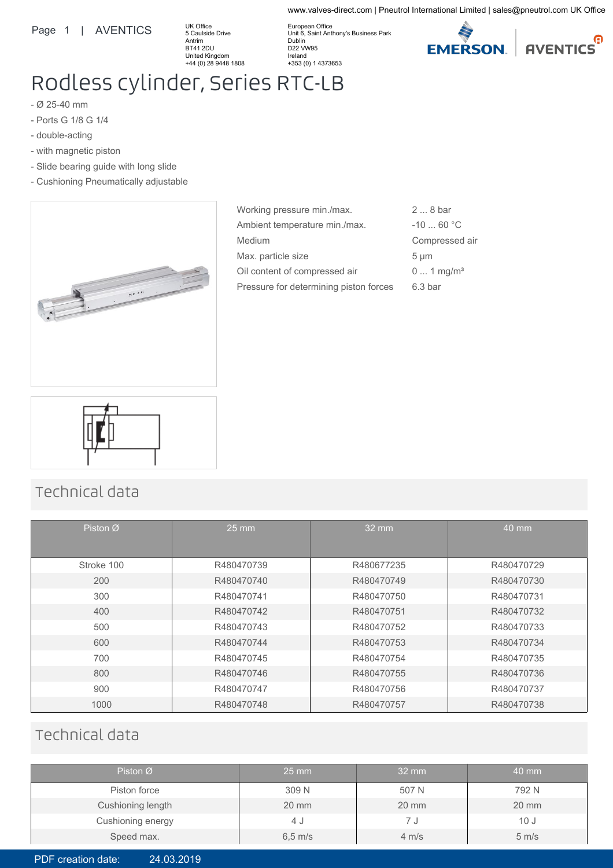#### Page 1 | AVENTICS

UK Office 5 Caulside Drive Antrim BT41 2DU United Kingdom +44 (0) 28 9448 1808

European Office Unit 6, Saint Anthony's Business Park Dublin D22 VW95 Ireland +353 (0) 1 4373653



www.valves-direct.com | Pneutrol International Limited | sales@pneutrol.com UK Office

# Rodless cylinder, Series RTC-LB

- Ø 25-40 mm
- Ports G 1/8 G 1/4
- double-acting
- with magnetic piston
- Slide bearing guide with long slide
- Cushioning Pneumatically adjustable



| Working pressure min./max.             | $28$ bar                |
|----------------------------------------|-------------------------|
| Ambient temperature min./max.          | $-10$ 60 °C             |
| Medium                                 | Compressed air          |
| Max. particle size                     | $5 \mu m$               |
| Oil content of compressed air          | $0 1$ mg/m <sup>3</sup> |
| Pressure for determining piston forces | 6.3 <sub>bar</sub>      |



## Technical data

| Piston $\varnothing$ | $25 \text{ mm}$ | 32 mm      | 40 mm      |
|----------------------|-----------------|------------|------------|
| Stroke 100           | R480470739      | R480677235 | R480470729 |
| 200                  | R480470740      | R480470749 | R480470730 |
| 300                  | R480470741      | R480470750 | R480470731 |
| 400                  | R480470742      | R480470751 | R480470732 |
| 500                  | R480470743      | R480470752 | R480470733 |
| 600                  | R480470744      | R480470753 | R480470734 |
| 700                  | R480470745      | R480470754 | R480470735 |
| 800                  | R480470746      | R480470755 | R480470736 |
| 900                  | R480470747      | R480470756 | R480470737 |
| 1000                 | R480470748      | R480470757 | R480470738 |

### Technical data

| Piston $\varnothing$ | $25 \text{ mm}$     | $32 \text{ mm}$   | 40 mm             |
|----------------------|---------------------|-------------------|-------------------|
| Piston force         | 309 N               | 507 N             | 792 N             |
| Cushioning length    | $20 \text{ mm}$     | $20 \text{ mm}$   | $20 \text{ mm}$   |
| Cushioning energy    | 4 J                 |                   | 10J               |
| Speed max.           | $6,5 \, \text{m/s}$ | $4 \, \text{m/s}$ | $5 \, \text{m/s}$ |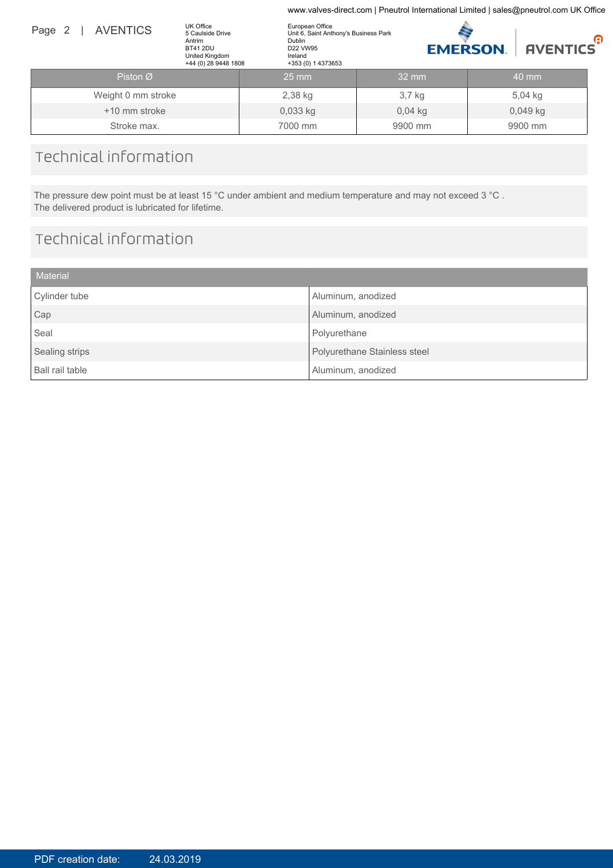www.valves-direct.com | Pneutrol International Limited | sales@pneutrol.com UK Office

| Page 2 | <b>AVENTICS</b>    | UK Office<br>5 Caulside Drive<br>Antrim<br><b>BT41 2DU</b><br>United Kingdom<br>+44 (0) 28 9448 1808 | European Office<br>Dublin<br>D22 VW95<br>Ireland<br>+353 (0) 1 4373653 | Unit 6, Saint Anthony's Business Park |                   | <b>EMERSON</b> | <b>AVENTICS</b> | Θ |
|--------|--------------------|------------------------------------------------------------------------------------------------------|------------------------------------------------------------------------|---------------------------------------|-------------------|----------------|-----------------|---|
|        | PistonØ            |                                                                                                      | $25$ mm                                                                |                                       | $32 \, \text{mm}$ |                | $40$ mm         |   |
|        | Weight 0 mm stroke |                                                                                                      | 2,38 kg                                                                |                                       | $3,7$ kg          |                | $5.04$ kg       |   |
|        | +10 mm stroke      |                                                                                                      | $0,033$ kg                                                             |                                       | $0.04$ kg         |                | $0,049$ kg      |   |
|        | Stroke max.        |                                                                                                      | 7000 mm                                                                |                                       | 9900 mm           |                | 9900 mm         |   |

## Technical information

The pressure dew point must be at least 15 °C under ambient and medium temperature and may not exceed 3 °C . The delivered product is lubricated for lifetime.

## Technical information

| <b>Material</b> |                              |
|-----------------|------------------------------|
| Cylinder tube   | Aluminum, anodized           |
| Cap             | Aluminum, anodized           |
| Seal            | Polyurethane                 |
| Sealing strips  | Polyurethane Stainless steel |
| Ball rail table | Aluminum, anodized           |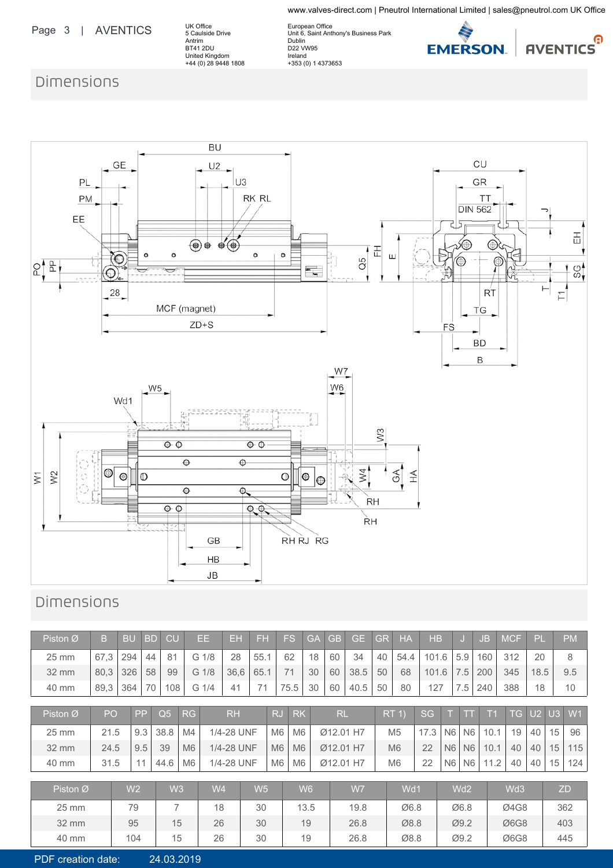www.valves-direct.com | Pneutrol International Limited | sales@pneutrol.com UK Office

### Page 3 | AVENTICS

UK Office 5 Caulside Drive Antrim BT41 2DU United Kingdom +44 (0) 28 9448 1808

European Office Unit 6, Saint Anthony's Business Park Dublin D22 VW95 Ireland +353 (0) 1 4373653



## Dimensions



## Dimensions

| Piston $\varnothing$ | B                                                                                                                                                        | <b>BU</b>      | <b>BD</b> | CU             |                | EE.            | EН         | FH             |                | <b>FS</b>      | GA             | <b>GB</b> | <b>GE</b> | GR | <b>HA</b>      | <b>HB</b> |                |                 | <b>JB</b> | <b>MCF</b>      | PL   |    | <b>PM</b> |
|----------------------|----------------------------------------------------------------------------------------------------------------------------------------------------------|----------------|-----------|----------------|----------------|----------------|------------|----------------|----------------|----------------|----------------|-----------|-----------|----|----------------|-----------|----------------|-----------------|-----------|-----------------|------|----|-----------|
| $25 \text{ mm}$      | 67,3                                                                                                                                                     | 294            | 44        | 81             |                | G 1/8          | 28         | 55.1           |                | 62             | 18             | 60        | 34        | 40 | 54.4           | 101.6     |                | 5.9             | 160       | 312             | 20   |    | 8         |
| $32 \, \text{mm}$    | 80,3                                                                                                                                                     | 326            | 58        | 99             |                | G 1/8          | 36,6       | 65.1           |                | 71             | 30             | 60        | 38.5      | 50 | 68             | 101.6     |                | 7.5             | 200       | 345             | 18.5 |    | 9.5       |
| 40 mm                | 89,3                                                                                                                                                     | 364            | 70        | 108            |                | G 1/4          | 41         | 71             |                | 75.5           | 30             | 60        | 40.5      | 50 | 80             | 127       |                | 7.5             | 240       | 388             | 18   |    | 10        |
| Piston Ø             | U2 U3 W1<br>PP<br>RJ<br>TG.<br>PO<br>Q <sub>5</sub><br><b>RH</b><br><b>RK</b><br><b>RL</b><br><b>SG</b><br>RG<br>RT <sub>1</sub><br>T <sub>1</sub><br>TT |                |           |                |                |                |            |                |                |                |                |           |           |    |                |           |                |                 |           |                 |      |    |           |
|                      |                                                                                                                                                          |                |           |                |                |                |            |                |                |                |                |           |           |    |                |           |                |                 |           |                 |      |    |           |
| $25 \text{ mm}$      | 21.5                                                                                                                                                     |                | 9.3       | 38.8           | M4             |                | 1/4-28 UNF |                | M <sub>6</sub> | M <sub>6</sub> |                | Ø12.01 H7 |           |    | M <sub>5</sub> | 17.3      | N <sub>6</sub> | N <sub>6</sub>  | 10.1      | 19              | 40   | 15 | 96        |
| 32 mm                | 24.5                                                                                                                                                     |                | 9.5       | 39             | M <sub>6</sub> |                | 1/4-28 UNF |                | M <sub>6</sub> | M <sub>6</sub> |                |           | Ø12.01 H7 |    | M <sub>6</sub> | 22        | N <sub>6</sub> | N <sub>6</sub>  | 10.1      | 40              | 40   | 15 | 115       |
| 40 mm                | 31.5                                                                                                                                                     |                | 11        | 44.6           | M <sub>6</sub> |                | 1/4-28 UNF |                | M <sub>6</sub> | M <sub>6</sub> |                | Ø12.01 H7 |           |    | M <sub>6</sub> | 22        | N <sub>6</sub> | N <sub>6</sub>  | 11.2      | 40              | 40   | 15 | 124       |
|                      |                                                                                                                                                          |                |           |                |                |                |            |                |                |                |                |           |           |    |                |           |                |                 |           |                 |      |    |           |
| Piston Ø             |                                                                                                                                                          | W <sub>2</sub> |           | W3             |                | W <sub>4</sub> |            | W <sub>5</sub> |                |                | W <sub>6</sub> |           | W7        |    | Wd1            |           |                | Wd <sub>2</sub> |           | Wd <sub>3</sub> |      |    | <b>ZD</b> |
| $25 \text{ mm}$      |                                                                                                                                                          | 79             |           | $\overline{7}$ |                | 18             |            | 30             |                |                | 13.5           |           | 19.8      |    | Ø6.8           |           |                | Ø6.8            |           | Ø4G8            |      |    | 362       |
| $32 \, \text{mm}$    |                                                                                                                                                          | 95             |           | 15             |                | 26             |            | 30             |                | 19             |                |           | 26.8      |    | Ø8.8           |           |                | Ø9.2            |           | Ø6G8            |      |    | 403       |
| 40 mm                |                                                                                                                                                          | 104            |           | 15             |                | 26             |            | 30             |                | 19             |                |           | 26.8      |    | Ø8.8           |           |                | Ø9.2            |           | Ø6G8            |      |    | 445       |

PDF creation date: 24.03.2019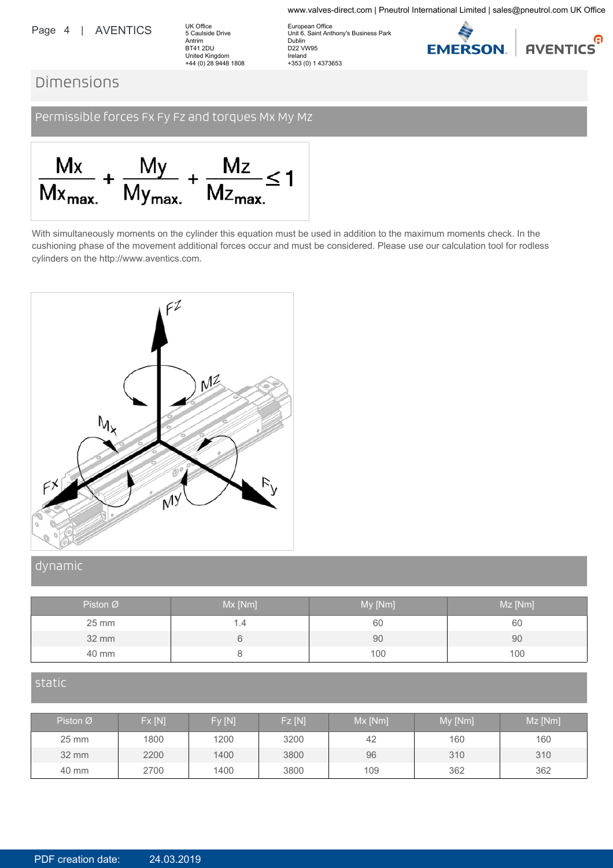#### Page 4 | AVENTICS

UK Office 5 Caulside Drive Antrim BT41 2DU<br>United Kingdom +44 (0) 28 9448 1808

European Office Unit 6, Saint Anthony's Business Park Dublin D22 VW95 Ireland +353 (0) 1 4373653



www.valves-direct.com | Pneutrol International Limited | sales@pneutrol.com UK Office

### Dimensions

Permissible forces Fx Fy Fz and torques Mx My Mz



With simultaneously moments on the cylinder this equation must be used in addition to the maximum moments check. In the cushioning phase of the movement additional forces occur and must be considered. Please use our calculation tool for rodless cylinders on the http://www.aventics.com.



#### dynamic

| Piston $\varnothing$ | Mx [Nm] | My [Nm] | Mz [Nm] |
|----------------------|---------|---------|---------|
| 25 mm                | 1.4     | 60      | 60      |
| $32 \text{ mm}$      |         | 90      | 90      |
| 40 mm                |         | 100     | 100     |

#### static

| Piston $\varnothing$ | Fx[N] | Fy [N] | <b>Fz</b> [N] | $Mx$ [Nm] | My [Nm] | Mz [Nm] |
|----------------------|-------|--------|---------------|-----------|---------|---------|
| $25 \, \text{mm}$    | 1800  | 1200   | 3200          | 42        | 160     | 160     |
| $32 \, \text{mm}$    | 2200  | 1400   | 3800          | 96        | 310     | 310     |
| 40 mm                | 2700  | 1400   | 3800          | 109       | 362     | 362     |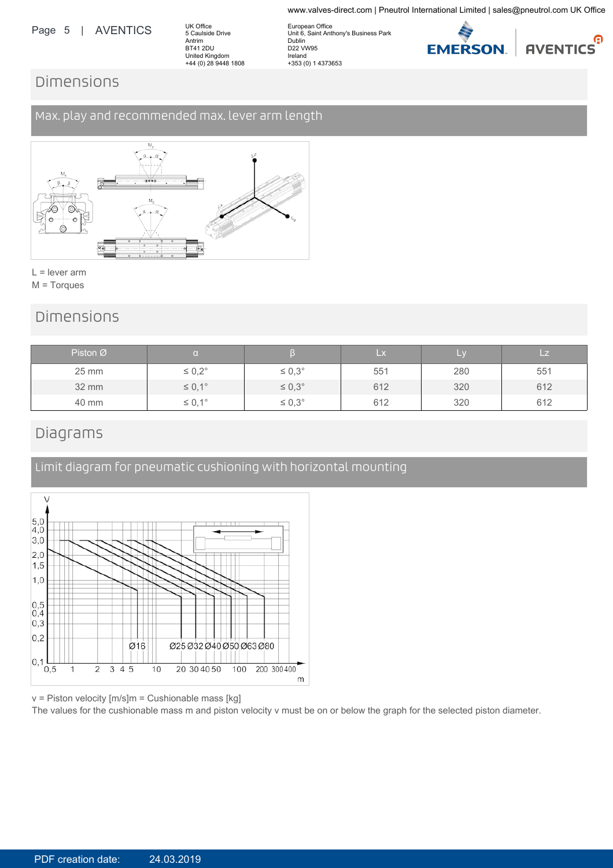#### Page 5 | AVENTICS

UK Office 5 Caulside Drive Antrim BT41 2DU United Kingdom +44 (0) 28 9448 1808

European Office Unit 6, Saint Anthony's Business Park Dublin D22 VW95 Ireland +353 (0) 1 4373653



www.valves-direct.com | Pneutrol International Limited | sales@pneutrol.com UK Office

## Dimensions

### Max. play and recommended max. lever arm length



 $L =$  lever arm M = Torques

### Dimensions

| Piston $\varnothing$ |                    |                  | $\mathsf{L} \mathsf{x}$ |     | LZ. |
|----------------------|--------------------|------------------|-------------------------|-----|-----|
| $25 \, \text{mm}$    | $\leq 0.2^{\circ}$ | $\leq 0.3^\circ$ | 551                     | 280 | 551 |
| 32 mm                | $\leq 0,1^{\circ}$ | $\leq 0.3^\circ$ | 612                     | 320 | 612 |
| 40 mm                | $\leq 0,1^{\circ}$ | $\leq 0.3^\circ$ | 612                     | 320 | 612 |

### Diagrams



Limit diagram for pneumatic cushioning with horizontal mounting

v = Piston velocity [m/s]m = Cushionable mass [kg]

The values for the cushionable mass m and piston velocity v must be on or below the graph for the selected piston diameter.